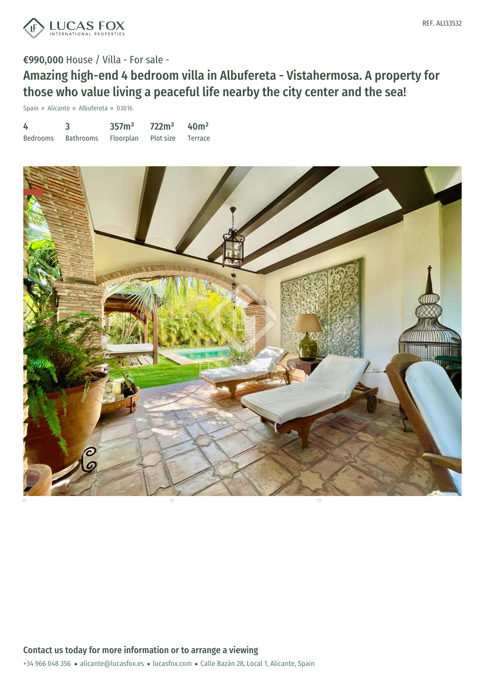

# €990,000 House / Villa - For sale -

Amazing high-end 4 bedroom villa in Albufereta - Vistahermosa. A property for those who value living a peaceful life nearby the city center and the sea!

Spain » Alicante » Albufereta » 03016

| 4        |                  | 357m <sup>2</sup> | 722m <sup>2</sup> | 40 <sup>m²</sup> |
|----------|------------------|-------------------|-------------------|------------------|
| Bedrooms | <b>Bathrooms</b> | Floorplan         | Plot size         | Terrace          |

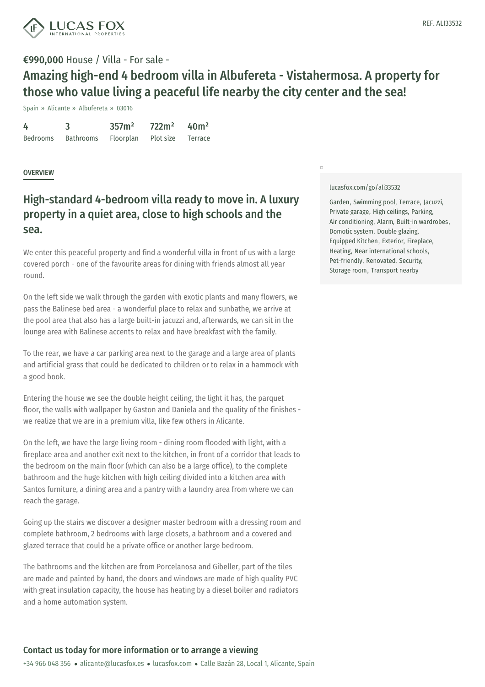

## €990,000 House / Villa - For sale -

# Amazing high-end 4 bedroom villa in Albufereta - Vistahermosa. A property for those who value living a peaceful life nearby the city center and the sea!

Spain » Alicante » Albufereta » 03016

| 4               |                  | 357m <sup>2</sup> | 722m <sup>2</sup> | 40 <sup>m²</sup> |
|-----------------|------------------|-------------------|-------------------|------------------|
| <b>Bedrooms</b> | <b>Bathrooms</b> | Floorplan         | Plot size         | Terrace          |

### **OVERVIEW**

# High-standard 4-bedroom villa ready to move in. A luxury property in a quiet area, close to high schools and the sea.

We enter this peaceful property and find a wonderful villa in front of us with a large covered porch - one of the favourite areas for dining with friends almost all year round.

On the left side we walk through the garden with exotic plants and many flowers, we pass the Balinese bed area - a wonderful place to relax and sunbathe, we arrive at the pool area that also has a large built-in jacuzzi and, afterwards, we can sit in the lounge area with Balinese accents to relax and have breakfast with the family.

To the rear, we have a car parking area next to the garage and a large area of plants and artificial grass that could be dedicated to children or to relax in a hammock with a good book.

Entering the house we see the double height ceiling, the light it has, the parquet floor, the walls with wallpaper by Gaston and Daniela and the quality of the finishes we realize that we are in a premium villa, like few others in Alicante.

On the left, we have the large living room - dining room flooded with light, with a fireplace area and another exit next to the kitchen, in front of a corridor that leads to the bedroom on the main floor (which can also be a large office), to the complete bathroom and the huge kitchen with high ceiling divided into a kitchen area with Santos furniture, a [dining](mailto:alicante@lucasfox.es) area and a pantry [with](https://www.lucasfox.com) a laundry area from where we can reach the garage.

Going up the stairs we discover a designer master bedroom with a dressing room and complete bathroom, 2 bedrooms with large closets, a bathroom and a covered and glazed terrace that could be a private office or another large bedroom.

The bathrooms and the kitchen are from Porcelanosa and Gibeller, part of the tiles are made and painted by hand, the doors and windows are made of high quality PVC with great insulation capacity, the house has heating by a diesel boiler and radiators and a home automation system.

#### [lucasfox.com/go/ali33532](https://www.lucasfox.com/go/ali33532)

 $\Box$ 

Garden, Swimming pool, Terrace, Jacuzzi, Private garage, High ceilings, Parking, Air conditioning, Alarm, Built-in wardrobes, Domotic system, Double glazing, Equipped Kitchen, Exterior, Fireplace, Heating, Near international schools, Pet-friendly, Renovated, Security, Storage room, Transport nearby

### Contact us today for more information or to arrange a viewing

+34 966 048 356 · alicante@lucasfox.es · lucasfox.com · Calle Bazán 28, Local 1, Alicante, Spain